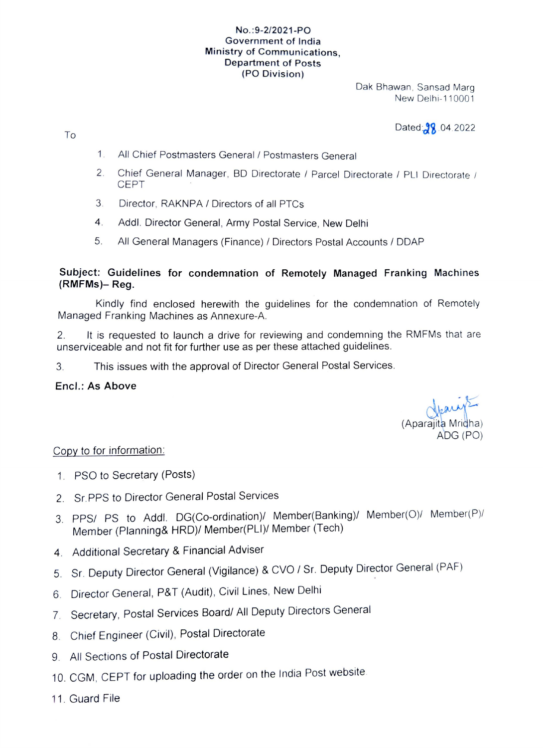#### No.:9-2/2021-PO Government of India Ministry of Communications, Department of Posts (PO Division)

Dak Bhawan, Sansad Marg New Delhi-110001

Dated: 8, 04.2022

- 1. All Chief Postmasters General / Postmasters General
- Chief General Manager, BD Directorate / Parcel Directorate / PLI Directorate / CEPT 2
- 3 Director, RAKNPA / Directors of all PTCs
- 4. Addi. Director General, Army Postal Service, New Delhi
- 5. All General Managers (Finance) / Directors Postal Accounts/ DDAP

### Subject: Guidelines for condemnation of Remotely Managed Franking Machines (RMFMs)- Reg.

Kindly find enclosed herewith the guidelines for the condemnation of Remotely Managed Franking Machines as Annexure-A.

2. It is requested to launch a drive for reviewing and condemning the RMFMs that are unserviceable and not fit for further use as per these attached guidelines.

3. This issues with the approval of Director General Postal Services.

### Encl.: As Above

To

(Aparajita Mridha) ADG (PO)

# Copy to for information:

- 1. PSO to Secretary (Posts)
- 2 Sr. PPS to Director General Postal Services
- 3. PPS/ PS to Addl. DG(Co-ordination)/ Member(Banking)/ Member(O)/ Member(P)/ Member (Planning& HRD)/ Member(PLI/ Member (Tech)
- 4 Additional Secretary & Financial Adviser
- 5. Sr. Deputy Director Genera (Vigilance) & CVO/ Sr. Deputy Director General (PAF)
- 6. Director General, P&T (Audit), Civil Lines, New Delhi
- 7. Secretary, Postal Services Board/ All Deputy Directors General
- 8. Chief Engineer (Civil), Postal Directorate
- 9. All Sections of Postal Directorate
- 10. CGM, CEPT for uploading the order on the India Post website
- 11. Guard File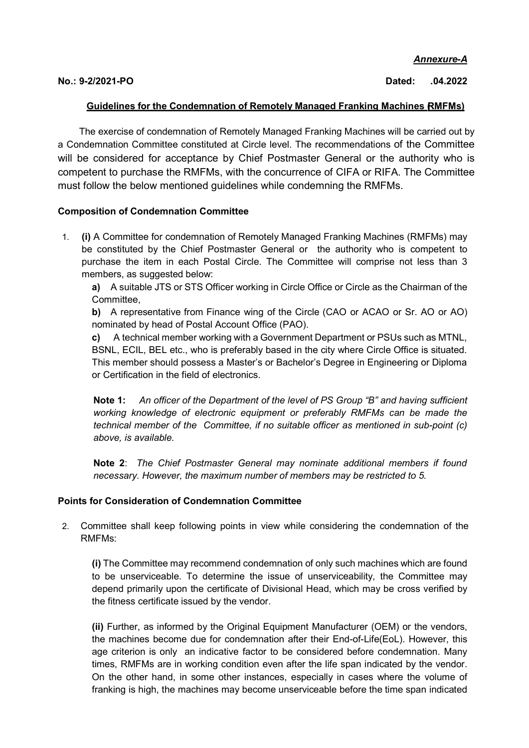Annexure-A

No.: 9-2/2021-PO Dated: .04.2022

### Guidelines for the Condemnation of Remotely Managed Franking Machines RMFMs)

The exercise of condemnation of Remotely Managed Franking Machines will be carried out by a Condemnation Committee constituted at Circle level. The recommendations of the Committee will be considered for acceptance by Chief Postmaster General or the authority who is competent to purchase the RMFMs, with the concurrence of CIFA or RIFA. The Committee must follow the below mentioned guidelines while condemning the RMFMs.

### Composition of Condemnation Committee

1. (i) A Committee for condemnation of Remotely Managed Franking Machines (RMFMs) may be constituted by the Chief Postmaster General or the authority who is competent to purchase the item in each Postal Circle. The Committee will comprise not less than 3 members, as suggested below:

a) A suitable JTS or STS Officer working in Circle Office or Circle as the Chairman of the Committee,

b) A representative from Finance wing of the Circle (CAO or ACAO or Sr. AO or AO) nominated by head of Postal Account Office (PAO).

c) A technical member working with a Government Department or PSUs such as MTNL, BSNL, ECIL, BEL etc., who is preferably based in the city where Circle Office is situated. This member should possess a Master's or Bachelor's Degree in Engineering or Diploma or Certification in the field of electronics.

Note 1: An officer of the Department of the level of PS Group "B" and having sufficient working knowledge of electronic equipment or preferably RMFMs can be made the technical member of the Committee, if no suitable officer as mentioned in sub-point (c) above, is available.

Note 2: The Chief Postmaster General may nominate additional members if found necessary. However, the maximum number of members may be restricted to 5.

# Points for Consideration of Condemnation Committee

2. Committee shall keep following points in view while considering the condemnation of the RMFMs:

(i) The Committee may recommend condemnation of only such machines which are found to be unserviceable. To determine the issue of unserviceability, the Committee may depend primarily upon the certificate of Divisional Head, which may be cross verified by the fitness certificate issued by the vendor.

(ii) Further, as informed by the Original Equipment Manufacturer (OEM) or the vendors, the machines become due for condemnation after their End-of-Life(EoL). However, this age criterion is only an indicative factor to be considered before condemnation. Many times, RMFMs are in working condition even after the life span indicated by the vendor. On the other hand, in some other instances, especially in cases where the volume of franking is high, the machines may become unserviceable before the time span indicated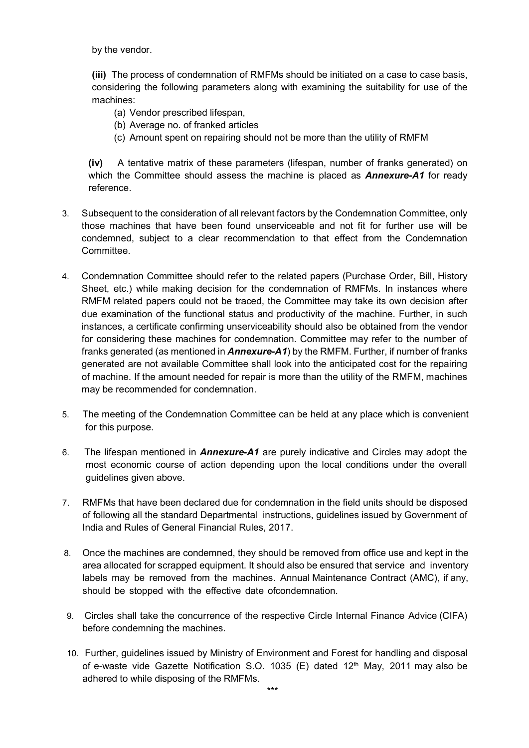by the vendor.

(iii) The process of condemnation of RMFMs should be initiated on a case to case basis, considering the following parameters along with examining the suitability for use of the machines:

- (a) Vendor prescribed lifespan,
- (b) Average no. of franked articles
- (c) Amount spent on repairing should not be more than the utility of RMFM

(iv) A tentative matrix of these parameters (lifespan, number of franks generated) on which the Committee should assess the machine is placed as  $Annexure-A1$  for ready reference.

- 3. Subsequent to the consideration of all relevant factors by the Condemnation Committee, only those machines that have been found unserviceable and not fit for further use will be condemned, subject to a clear recommendation to that effect from the Condemnation Committee.
- 4. Condemnation Committee should refer to the related papers (Purchase Order, Bill, History Sheet, etc.) while making decision for the condemnation of RMFMs. In instances where RMFM related papers could not be traced, the Committee may take its own decision after due examination of the functional status and productivity of the machine. Further, in such instances, a certificate confirming unserviceability should also be obtained from the vendor for considering these machines for condemnation. Committee may refer to the number of franks generated (as mentioned in **Annexure-A1**) by the RMFM. Further, if number of franks generated are not available Committee shall look into the anticipated cost for the repairing of machine. If the amount needed for repair is more than the utility of the RMFM, machines may be recommended for condemnation.
- 5. The meeting of the Condemnation Committee can be held at any place which is convenient for this purpose.
- 6. The lifespan mentioned in **Annexure-A1** are purely indicative and Circles may adopt the most economic course of action depending upon the local conditions under the overall guidelines given above.
- 7. RMFMs that have been declared due for condemnation in the field units should be disposed of following all the standard Departmental instructions, guidelines issued by Government of India and Rules of General Financial Rules, 2017.
- 8. Once the machines are condemned, they should be removed from office use and kept in the area allocated for scrapped equipment. It should also be ensured that service and inventory labels may be removed from the machines. Annual Maintenance Contract (AMC), if any, should be stopped with the effective date of condemnation.
- 9. Circles shall take the concurrence of the respective Circle Internal Finance Advice (CIFA) before condemning the machines.
- 10. Further, guidelines issued by Ministry of Environment and Forest for handling and disposal of e-waste vide Gazette Notification S.O. 1035 (E) dated  $12<sup>th</sup>$  May, 2011 may also be adhered to while disposing of the RMFMs.